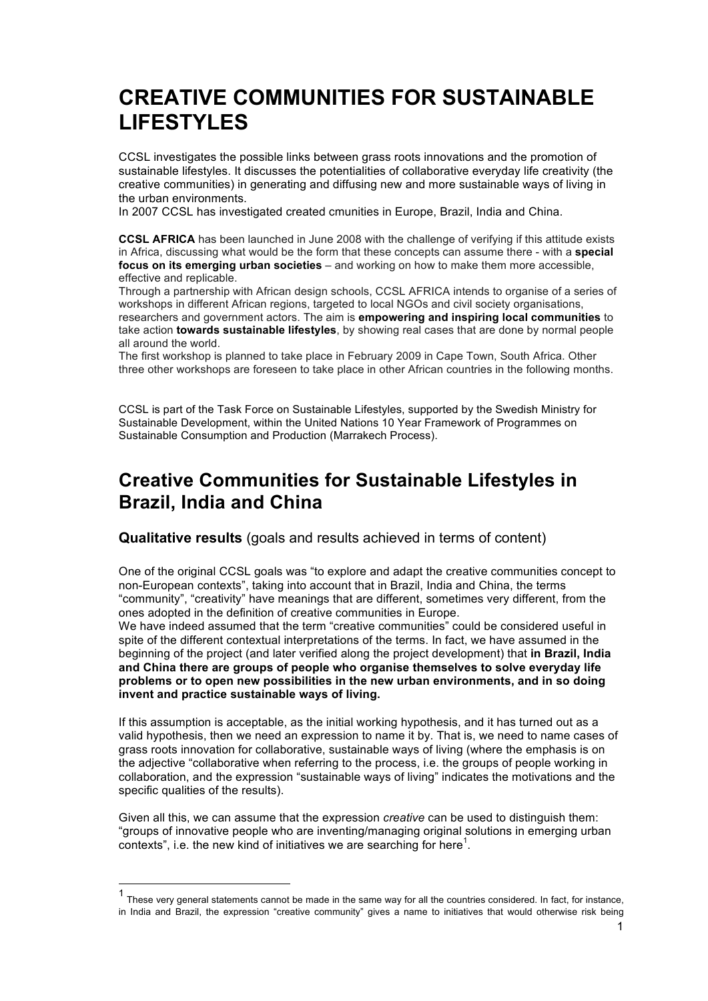# **CREATIVE COMMUNITIES FOR SUSTAINABLE LIFESTYLES**

CCSL investigates the possible links between grass roots innovations and the promotion of sustainable lifestyles. It discusses the potentialities of collaborative everyday life creativity (the creative communities) in generating and diffusing new and more sustainable ways of living in the urban environments.

In 2007 CCSL has investigated created cmunities in Europe, Brazil, India and China.

**CCSL AFRICA** has been launched in June 2008 with the challenge of verifying if this attitude exists in Africa, discussing what would be the form that these concepts can assume there - with a **special focus on its emerging urban societies** – and working on how to make them more accessible, effective and replicable.

Through a partnership with African design schools, CCSL AFRICA intends to organise of a series of workshops in different African regions, targeted to local NGOs and civil society organisations, researchers and government actors. The aim is **empowering and inspiring local communities** to take action **towards sustainable lifestyles**, by showing real cases that are done by normal people all around the world.

The first workshop is planned to take place in February 2009 in Cape Town, South Africa. Other three other workshops are foreseen to take place in other African countries in the following months.

CCSL is part of the Task Force on Sustainable Lifestyles, supported by the Swedish Ministry for Sustainable Development, within the United Nations 10 Year Framework of Programmes on Sustainable Consumption and Production (Marrakech Process).

## **Creative Communities for Sustainable Lifestyles in Brazil, India and China**

**Qualitative results** (goals and results achieved in terms of content)

One of the original CCSL goals was "to explore and adapt the creative communities concept to non-European contexts", taking into account that in Brazil, India and China, the terms "community", "creativity" have meanings that are different, sometimes very different, from the ones adopted in the definition of creative communities in Europe.

We have indeed assumed that the term "creative communities" could be considered useful in spite of the different contextual interpretations of the terms. In fact, we have assumed in the beginning of the project (and later verified along the project development) that **in Brazil, India and China there are groups of people who organise themselves to solve everyday life problems or to open new possibilities in the new urban environments, and in so doing invent and practice sustainable ways of living.** 

If this assumption is acceptable, as the initial working hypothesis, and it has turned out as a valid hypothesis, then we need an expression to name it by. That is, we need to name cases of grass roots innovation for collaborative, sustainable ways of living (where the emphasis is on the adjective "collaborative when referring to the process, i.e. the groups of people working in collaboration, and the expression "sustainable ways of living" indicates the motivations and the specific qualities of the results).

Given all this, we can assume that the expression *creative* can be used to distinguish them: "groups of innovative people who are inventing/managing original solutions in emerging urban contexts", i.e. the new kind of initiatives we are searching for here $1$ .

 <sup>1</sup> These very general statements cannot be made in the same way for all the countries considered. In fact, for instance, in India and Brazil, the expression "creative community" gives a name to initiatives that would otherwise risk being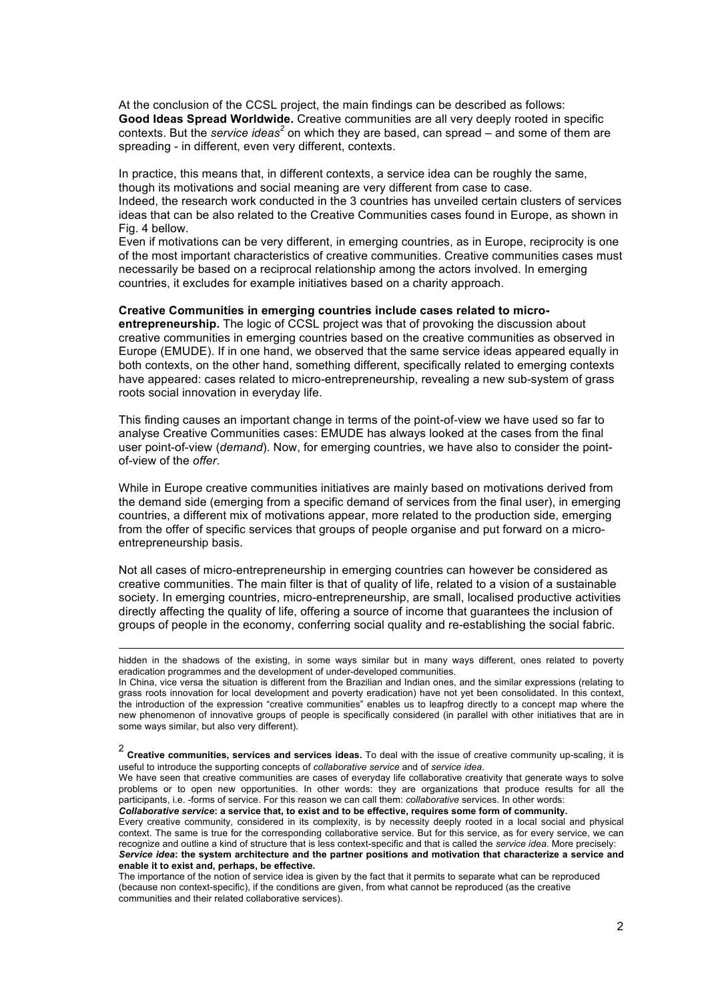At the conclusion of the CCSL project, the main findings can be described as follows: **Good Ideas Spread Worldwide.** Creative communities are all very deeply rooted in specific contexts. But the *service ideas<sup>2</sup>* on which they are based, can spread – and some of them are spreading - in different, even very different, contexts.

In practice, this means that, in different contexts, a service idea can be roughly the same, though its motivations and social meaning are very different from case to case. Indeed, the research work conducted in the 3 countries has unveiled certain clusters of services ideas that can be also related to the Creative Communities cases found in Europe, as shown in Fig. 4 bellow.

Even if motivations can be very different, in emerging countries, as in Europe, reciprocity is one of the most important characteristics of creative communities. Creative communities cases must necessarily be based on a reciprocal relationship among the actors involved. In emerging countries, it excludes for example initiatives based on a charity approach.

#### **Creative Communities in emerging countries include cases related to micro-**

**entrepreneurship.** The logic of CCSL project was that of provoking the discussion about creative communities in emerging countries based on the creative communities as observed in Europe (EMUDE). If in one hand, we observed that the same service ideas appeared equally in both contexts, on the other hand, something different, specifically related to emerging contexts have appeared: cases related to micro-entrepreneurship, revealing a new sub-system of grass roots social innovation in everyday life.

This finding causes an important change in terms of the point-of-view we have used so far to analyse Creative Communities cases: EMUDE has always looked at the cases from the final user point-of-view (*demand*). Now, for emerging countries, we have also to consider the pointof-view of the *offer*.

While in Europe creative communities initiatives are mainly based on motivations derived from the demand side (emerging from a specific demand of services from the final user), in emerging countries, a different mix of motivations appear, more related to the production side, emerging from the offer of specific services that groups of people organise and put forward on a microentrepreneurship basis.

Not all cases of micro-entrepreneurship in emerging countries can however be considered as creative communities. The main filter is that of quality of life, related to a vision of a sustainable society. In emerging countries, micro-entrepreneurship, are small, localised productive activities directly affecting the quality of life, offering a source of income that guarantees the inclusion of groups of people in the economy, conferring social quality and re-establishing the social fabric.

 hidden in the shadows of the existing, in some ways similar but in many ways different, ones related to poverty eradication programmes and the development of under-developed communities.

In China, vice versa the situation is different from the Brazilian and Indian ones, and the similar expressions (relating to grass roots innovation for local development and poverty eradication) have not yet been consolidated. In this context, the introduction of the expression "creative communities" enables us to leapfrog directly to a concept map where the new phenomenon of innovative groups of people is specifically considered (in parallel with other initiatives that are in some ways similar, but also very different).

<sup>2</sup> **Creative communities, services and services ideas.** To deal with the issue of creative community up-scaling, it is useful to introduce the supporting concepts of *collaborative service* and of *service idea*.

We have seen that creative communities are cases of everyday life collaborative creativity that generate ways to solve problems or to open new opportunities. In other words: they are organizations that produce results for all the participants, i.e. -forms of service. For this reason we can call them: *collaborative* services. In other words: *Collaborative service***: a service that, to exist and to be effective, requires some form of community.** 

Every creative community, considered in its complexity, is by necessity deeply rooted in a local social and physical context. The same is true for the corresponding collaborative service. But for this service, as for every service, we can recognize and outline a kind of structure that is less context-specific and that is called the *service idea*. More precisely: *Service idea***: the system architecture and the partner positions and motivation that characterize a service and enable it to exist and, perhaps, be effective.** 

The importance of the notion of service idea is given by the fact that it permits to separate what can be reproduced (because non context-specific), if the conditions are given, from what cannot be reproduced (as the creative communities and their related collaborative services).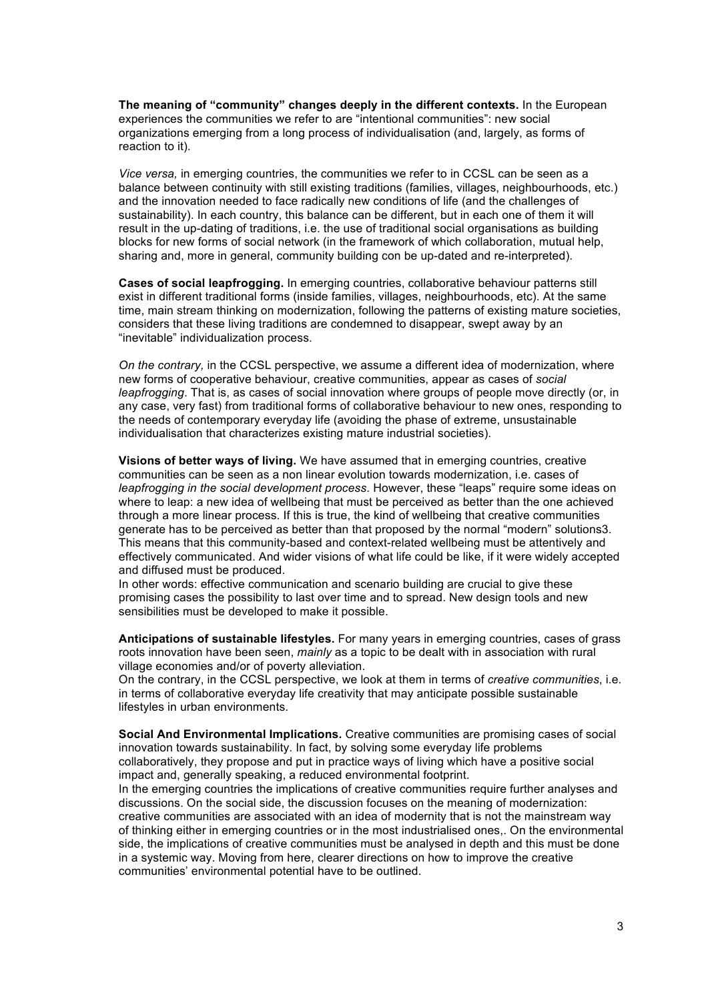**The meaning of "community" changes deeply in the different contexts.** In the European experiences the communities we refer to are "intentional communities": new social organizations emerging from a long process of individualisation (and, largely, as forms of reaction to it).

*Vice versa,* in emerging countries, the communities we refer to in CCSL can be seen as a balance between continuity with still existing traditions (families, villages, neighbourhoods, etc.) and the innovation needed to face radically new conditions of life (and the challenges of sustainability). In each country, this balance can be different, but in each one of them it will result in the up-dating of traditions, i.e. the use of traditional social organisations as building blocks for new forms of social network (in the framework of which collaboration, mutual help, sharing and, more in general, community building con be up-dated and re-interpreted).

**Cases of social leapfrogging.** In emerging countries, collaborative behaviour patterns still exist in different traditional forms (inside families, villages, neighbourhoods, etc). At the same time, main stream thinking on modernization, following the patterns of existing mature societies, considers that these living traditions are condemned to disappear, swept away by an "inevitable" individualization process.

*On the contrary,* in the CCSL perspective, we assume a different idea of modernization, where new forms of cooperative behaviour, creative communities, appear as cases of *social leapfrogging*. That is, as cases of social innovation where groups of people move directly (or, in any case, very fast) from traditional forms of collaborative behaviour to new ones, responding to the needs of contemporary everyday life (avoiding the phase of extreme, unsustainable individualisation that characterizes existing mature industrial societies).

**Visions of better ways of living.** We have assumed that in emerging countries, creative communities can be seen as a non linear evolution towards modernization, i.e. cases of *leapfrogging in the social development process*. However, these "leaps" require some ideas on where to leap: a new idea of wellbeing that must be perceived as better than the one achieved through a more linear process. If this is true, the kind of wellbeing that creative communities generate has to be perceived as better than that proposed by the normal "modern" solutions3. This means that this community-based and context-related wellbeing must be attentively and effectively communicated. And wider visions of what life could be like, if it were widely accepted and diffused must be produced.

In other words: effective communication and scenario building are crucial to give these promising cases the possibility to last over time and to spread. New design tools and new sensibilities must be developed to make it possible.

**Anticipations of sustainable lifestyles.** For many years in emerging countries, cases of grass roots innovation have been seen, *mainly* as a topic to be dealt with in association with rural village economies and/or of poverty alleviation.

On the contrary, in the CCSL perspective, we look at them in terms of *creative communities*, i.e. in terms of collaborative everyday life creativity that may anticipate possible sustainable lifestyles in urban environments.

**Social And Environmental Implications.** Creative communities are promising cases of social innovation towards sustainability. In fact, by solving some everyday life problems collaboratively, they propose and put in practice ways of living which have a positive social impact and, generally speaking, a reduced environmental footprint.

In the emerging countries the implications of creative communities require further analyses and discussions. On the social side, the discussion focuses on the meaning of modernization: creative communities are associated with an idea of modernity that is not the mainstream way of thinking either in emerging countries or in the most industrialised ones,. On the environmental side, the implications of creative communities must be analysed in depth and this must be done in a systemic way. Moving from here, clearer directions on how to improve the creative communities' environmental potential have to be outlined.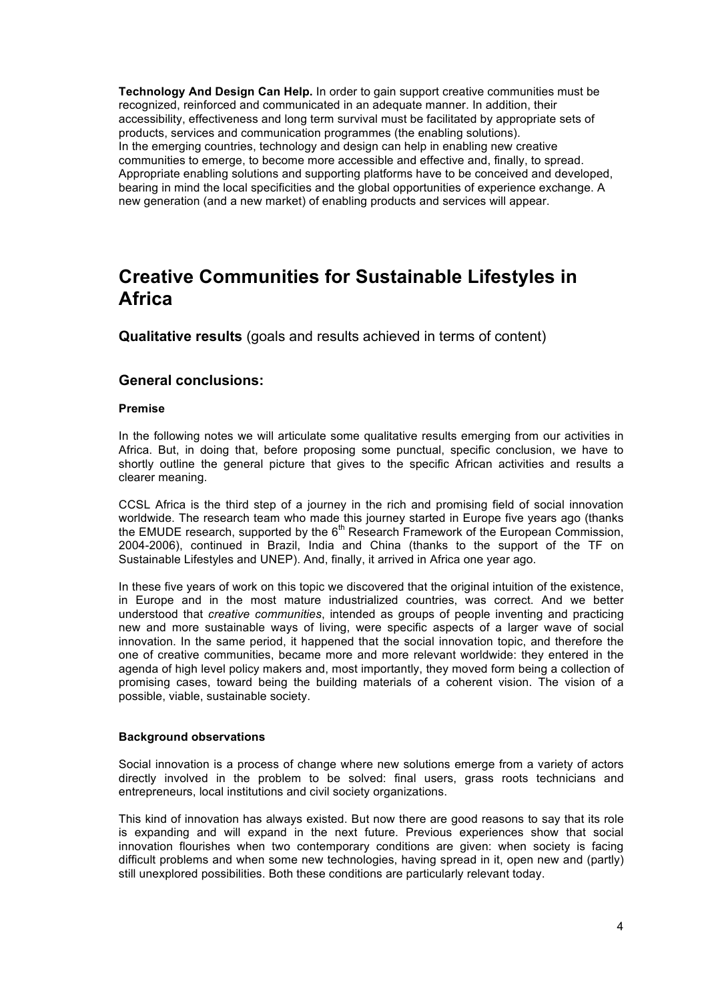**Technology And Design Can Help.** In order to gain support creative communities must be recognized, reinforced and communicated in an adequate manner. In addition, their accessibility, effectiveness and long term survival must be facilitated by appropriate sets of products, services and communication programmes (the enabling solutions). In the emerging countries, technology and design can help in enabling new creative communities to emerge, to become more accessible and effective and, finally, to spread. Appropriate enabling solutions and supporting platforms have to be conceived and developed, bearing in mind the local specificities and the global opportunities of experience exchange. A new generation (and a new market) of enabling products and services will appear.

## **Creative Communities for Sustainable Lifestyles in Africa**

**Qualitative results** (goals and results achieved in terms of content)

### **General conclusions:**

#### **Premise**

In the following notes we will articulate some qualitative results emerging from our activities in Africa. But, in doing that, before proposing some punctual, specific conclusion, we have to shortly outline the general picture that gives to the specific African activities and results a clearer meaning.

CCSL Africa is the third step of a journey in the rich and promising field of social innovation worldwide. The research team who made this journey started in Europe five years ago (thanks the EMUDE research, supported by the  $6<sup>th</sup>$  Research Framework of the European Commission, 2004-2006), continued in Brazil, India and China (thanks to the support of the TF on Sustainable Lifestyles and UNEP). And, finally, it arrived in Africa one year ago.

In these five years of work on this topic we discovered that the original intuition of the existence, in Europe and in the most mature industrialized countries, was correct. And we better understood that *creative communities*, intended as groups of people inventing and practicing new and more sustainable ways of living, were specific aspects of a larger wave of social innovation. In the same period, it happened that the social innovation topic, and therefore the one of creative communities, became more and more relevant worldwide: they entered in the agenda of high level policy makers and, most importantly, they moved form being a collection of promising cases, toward being the building materials of a coherent vision. The vision of a possible, viable, sustainable society.

#### **Background observations**

Social innovation is a process of change where new solutions emerge from a variety of actors directly involved in the problem to be solved: final users, grass roots technicians and entrepreneurs, local institutions and civil society organizations.

This kind of innovation has always existed. But now there are good reasons to say that its role is expanding and will expand in the next future. Previous experiences show that social innovation flourishes when two contemporary conditions are given: when society is facing difficult problems and when some new technologies, having spread in it, open new and (partly) still unexplored possibilities. Both these conditions are particularly relevant today.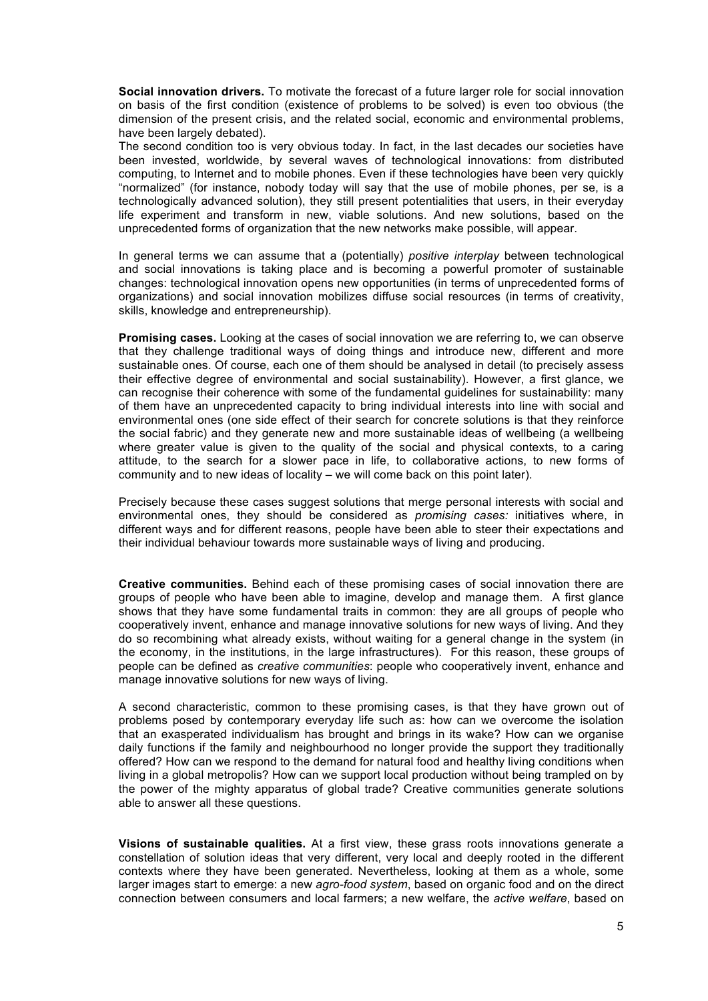**Social innovation drivers.** To motivate the forecast of a future larger role for social innovation on basis of the first condition (existence of problems to be solved) is even too obvious (the dimension of the present crisis, and the related social, economic and environmental problems, have been largely debated).

The second condition too is very obvious today. In fact, in the last decades our societies have been invested, worldwide, by several waves of technological innovations: from distributed computing, to Internet and to mobile phones. Even if these technologies have been very quickly "normalized" (for instance, nobody today will say that the use of mobile phones, per se, is a technologically advanced solution), they still present potentialities that users, in their everyday life experiment and transform in new, viable solutions. And new solutions, based on the unprecedented forms of organization that the new networks make possible, will appear.

In general terms we can assume that a (potentially) *positive interplay* between technological and social innovations is taking place and is becoming a powerful promoter of sustainable changes: technological innovation opens new opportunities (in terms of unprecedented forms of organizations) and social innovation mobilizes diffuse social resources (in terms of creativity, skills, knowledge and entrepreneurship).

**Promising cases.** Looking at the cases of social innovation we are referring to, we can observe that they challenge traditional ways of doing things and introduce new, different and more sustainable ones. Of course, each one of them should be analysed in detail (to precisely assess their effective degree of environmental and social sustainability). However, a first glance, we can recognise their coherence with some of the fundamental guidelines for sustainability: many of them have an unprecedented capacity to bring individual interests into line with social and environmental ones (one side effect of their search for concrete solutions is that they reinforce the social fabric) and they generate new and more sustainable ideas of wellbeing (a wellbeing where greater value is given to the quality of the social and physical contexts, to a caring attitude, to the search for a slower pace in life, to collaborative actions, to new forms of community and to new ideas of locality – we will come back on this point later).

Precisely because these cases suggest solutions that merge personal interests with social and environmental ones, they should be considered as *promising cases:* initiatives where, in different ways and for different reasons, people have been able to steer their expectations and their individual behaviour towards more sustainable ways of living and producing.

**Creative communities.** Behind each of these promising cases of social innovation there are groups of people who have been able to imagine, develop and manage them. A first glance shows that they have some fundamental traits in common: they are all groups of people who cooperatively invent, enhance and manage innovative solutions for new ways of living. And they do so recombining what already exists, without waiting for a general change in the system (in the economy, in the institutions, in the large infrastructures). For this reason, these groups of people can be defined as *creative communities*: people who cooperatively invent, enhance and manage innovative solutions for new ways of living.

A second characteristic, common to these promising cases, is that they have grown out of problems posed by contemporary everyday life such as: how can we overcome the isolation that an exasperated individualism has brought and brings in its wake? How can we organise daily functions if the family and neighbourhood no longer provide the support they traditionally offered? How can we respond to the demand for natural food and healthy living conditions when living in a global metropolis? How can we support local production without being trampled on by the power of the mighty apparatus of global trade? Creative communities generate solutions able to answer all these questions.

**Visions of sustainable qualities.** At a first view, these grass roots innovations generate a constellation of solution ideas that very different, very local and deeply rooted in the different contexts where they have been generated. Nevertheless, looking at them as a whole, some larger images start to emerge: a new *agro-food system*, based on organic food and on the direct connection between consumers and local farmers; a new welfare, the *active welfare*, based on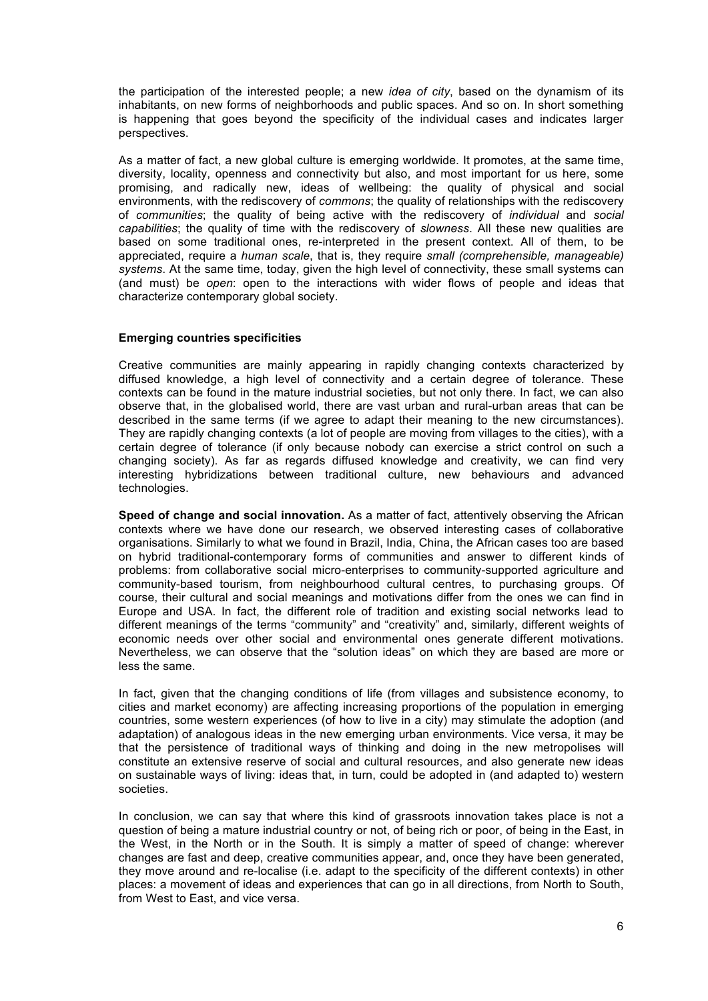the participation of the interested people; a new *idea of city*, based on the dynamism of its inhabitants, on new forms of neighborhoods and public spaces. And so on. In short something is happening that goes beyond the specificity of the individual cases and indicates larger perspectives.

As a matter of fact, a new global culture is emerging worldwide. It promotes, at the same time, diversity, locality, openness and connectivity but also, and most important for us here, some promising, and radically new, ideas of wellbeing: the quality of physical and social environments, with the rediscovery of *commons*; the quality of relationships with the rediscovery of *communities*; the quality of being active with the rediscovery of *individual* and *social capabilities*; the quality of time with the rediscovery of *slowness*. All these new qualities are based on some traditional ones, re-interpreted in the present context. All of them, to be appreciated, require a *human scale*, that is, they require *small (comprehensible, manageable) systems*. At the same time, today, given the high level of connectivity, these small systems can (and must) be *open*: open to the interactions with wider flows of people and ideas that characterize contemporary global society.

#### **Emerging countries specificities**

Creative communities are mainly appearing in rapidly changing contexts characterized by diffused knowledge, a high level of connectivity and a certain degree of tolerance. These contexts can be found in the mature industrial societies, but not only there. In fact, we can also observe that, in the globalised world, there are vast urban and rural-urban areas that can be described in the same terms (if we agree to adapt their meaning to the new circumstances). They are rapidly changing contexts (a lot of people are moving from villages to the cities), with a certain degree of tolerance (if only because nobody can exercise a strict control on such a changing society). As far as regards diffused knowledge and creativity, we can find very interesting hybridizations between traditional culture, new behaviours and advanced technologies.

**Speed of change and social innovation.** As a matter of fact, attentively observing the African contexts where we have done our research, we observed interesting cases of collaborative organisations. Similarly to what we found in Brazil, India, China, the African cases too are based on hybrid traditional-contemporary forms of communities and answer to different kinds of problems: from collaborative social micro-enterprises to community-supported agriculture and community-based tourism, from neighbourhood cultural centres, to purchasing groups. Of course, their cultural and social meanings and motivations differ from the ones we can find in Europe and USA. In fact, the different role of tradition and existing social networks lead to different meanings of the terms "community" and "creativity" and, similarly, different weights of economic needs over other social and environmental ones generate different motivations. Nevertheless, we can observe that the "solution ideas" on which they are based are more or less the same.

In fact, given that the changing conditions of life (from villages and subsistence economy, to cities and market economy) are affecting increasing proportions of the population in emerging countries, some western experiences (of how to live in a city) may stimulate the adoption (and adaptation) of analogous ideas in the new emerging urban environments. Vice versa, it may be that the persistence of traditional ways of thinking and doing in the new metropolises will constitute an extensive reserve of social and cultural resources, and also generate new ideas on sustainable ways of living: ideas that, in turn, could be adopted in (and adapted to) western societies.

In conclusion, we can say that where this kind of grassroots innovation takes place is not a question of being a mature industrial country or not, of being rich or poor, of being in the East, in the West, in the North or in the South. It is simply a matter of speed of change: wherever changes are fast and deep, creative communities appear, and, once they have been generated, they move around and re-localise (i.e. adapt to the specificity of the different contexts) in other places: a movement of ideas and experiences that can go in all directions, from North to South, from West to East, and vice versa.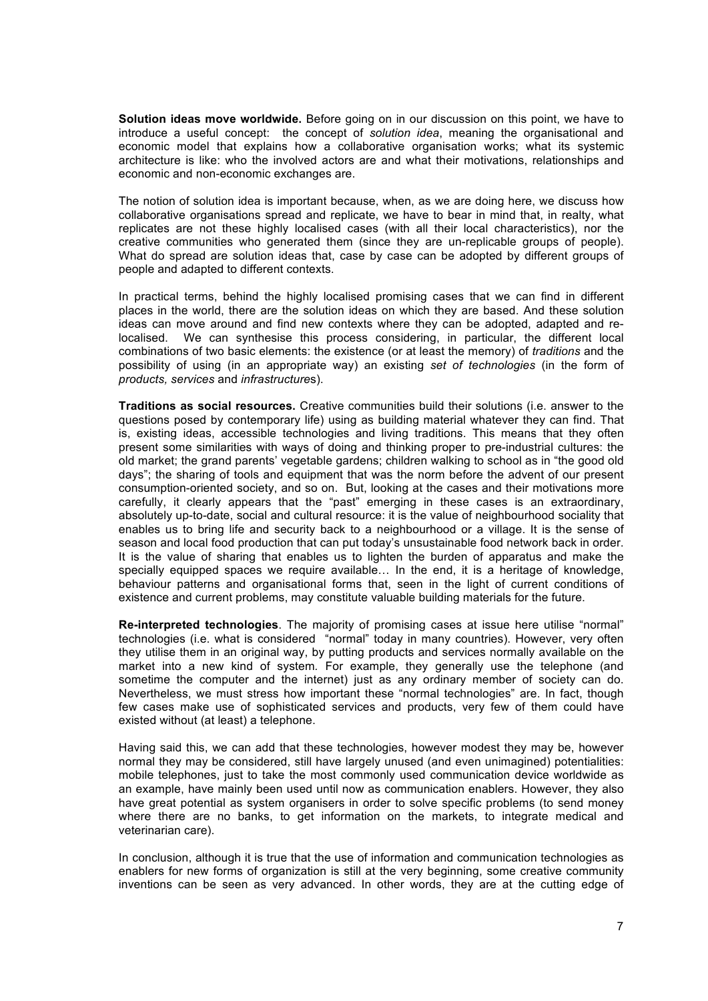**Solution ideas move worldwide.** Before going on in our discussion on this point, we have to introduce a useful concept: the concept of *solution idea*, meaning the organisational and economic model that explains how a collaborative organisation works; what its systemic architecture is like: who the involved actors are and what their motivations, relationships and economic and non-economic exchanges are.

The notion of solution idea is important because, when, as we are doing here, we discuss how collaborative organisations spread and replicate, we have to bear in mind that, in realty, what replicates are not these highly localised cases (with all their local characteristics), nor the creative communities who generated them (since they are un-replicable groups of people). What do spread are solution ideas that, case by case can be adopted by different groups of people and adapted to different contexts.

In practical terms, behind the highly localised promising cases that we can find in different places in the world, there are the solution ideas on which they are based. And these solution ideas can move around and find new contexts where they can be adopted, adapted and relocalised. We can synthesise this process considering, in particular, the different local combinations of two basic elements: the existence (or at least the memory) of *traditions* and the possibility of using (in an appropriate way) an existing *set of technologies* (in the form of *products, services* and *infrastructure*s).

**Traditions as social resources.** Creative communities build their solutions (i.e. answer to the questions posed by contemporary life) using as building material whatever they can find. That is, existing ideas, accessible technologies and living traditions. This means that they often present some similarities with ways of doing and thinking proper to pre-industrial cultures: the old market; the grand parents' vegetable gardens; children walking to school as in "the good old days"; the sharing of tools and equipment that was the norm before the advent of our present consumption-oriented society, and so on. But, looking at the cases and their motivations more carefully, it clearly appears that the "past" emerging in these cases is an extraordinary, absolutely up-to-date, social and cultural resource: it is the value of neighbourhood sociality that enables us to bring life and security back to a neighbourhood or a village. It is the sense of season and local food production that can put today's unsustainable food network back in order. It is the value of sharing that enables us to lighten the burden of apparatus and make the specially equipped spaces we require available… In the end, it is a heritage of knowledge, behaviour patterns and organisational forms that, seen in the light of current conditions of existence and current problems, may constitute valuable building materials for the future.

**Re-interpreted technologies**. The majority of promising cases at issue here utilise "normal" technologies (i.e. what is considered "normal" today in many countries). However, very often they utilise them in an original way, by putting products and services normally available on the market into a new kind of system*.* For example, they generally use the telephone (and sometime the computer and the internet) just as any ordinary member of society can do. Nevertheless, we must stress how important these "normal technologies" are. In fact, though few cases make use of sophisticated services and products, very few of them could have existed without (at least) a telephone.

Having said this, we can add that these technologies, however modest they may be, however normal they may be considered, still have largely unused (and even unimagined) potentialities: mobile telephones, just to take the most commonly used communication device worldwide as an example, have mainly been used until now as communication enablers. However, they also have great potential as system organisers in order to solve specific problems (to send money where there are no banks, to get information on the markets, to integrate medical and veterinarian care).

In conclusion, although it is true that the use of information and communication technologies as enablers for new forms of organization is still at the very beginning, some creative community inventions can be seen as very advanced. In other words, they are at the cutting edge of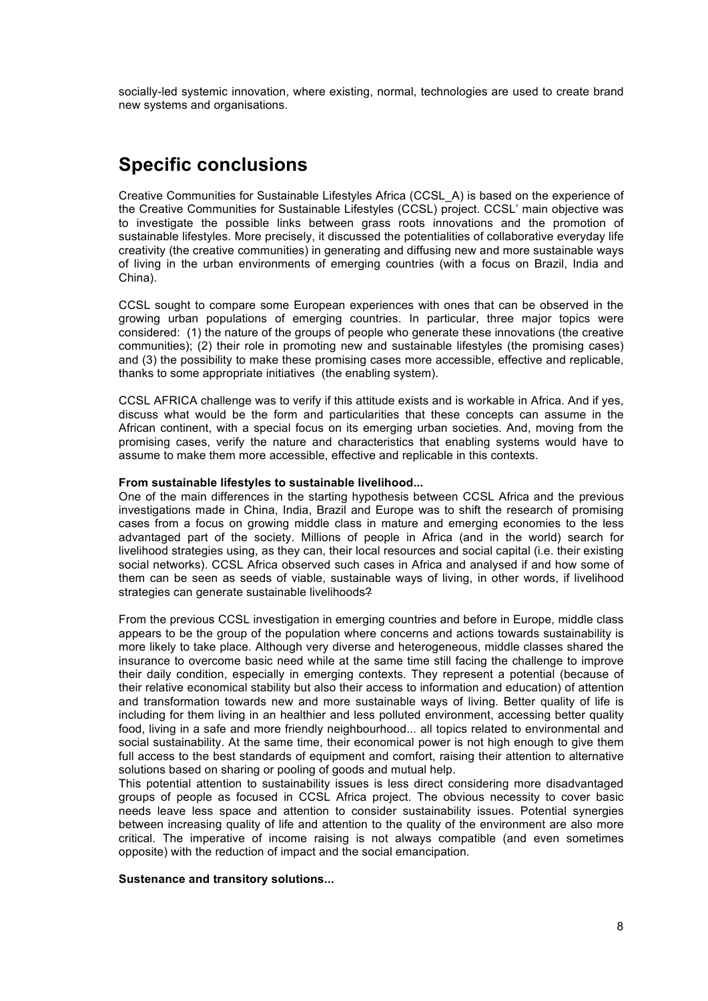socially-led systemic innovation, where existing, normal, technologies are used to create brand new systems and organisations.

## **Specific conclusions**

Creative Communities for Sustainable Lifestyles Africa (CCSL\_A) is based on the experience of the Creative Communities for Sustainable Lifestyles (CCSL) project. CCSL' main objective was to investigate the possible links between grass roots innovations and the promotion of sustainable lifestyles. More precisely, it discussed the potentialities of collaborative everyday life creativity (the creative communities) in generating and diffusing new and more sustainable ways of living in the urban environments of emerging countries (with a focus on Brazil, India and China).

CCSL sought to compare some European experiences with ones that can be observed in the growing urban populations of emerging countries. In particular, three major topics were considered: (1) the nature of the groups of people who generate these innovations (the creative communities); (2) their role in promoting new and sustainable lifestyles (the promising cases) and (3) the possibility to make these promising cases more accessible, effective and replicable, thanks to some appropriate initiatives (the enabling system).

CCSL AFRICA challenge was to verify if this attitude exists and is workable in Africa. And if yes, discuss what would be the form and particularities that these concepts can assume in the African continent, with a special focus on its emerging urban societies. And, moving from the promising cases, verify the nature and characteristics that enabling systems would have to assume to make them more accessible, effective and replicable in this contexts.

#### **From sustainable lifestyles to sustainable livelihood...**

One of the main differences in the starting hypothesis between CCSL Africa and the previous investigations made in China, India, Brazil and Europe was to shift the research of promising cases from a focus on growing middle class in mature and emerging economies to the less advantaged part of the society. Millions of people in Africa (and in the world) search for livelihood strategies using, as they can, their local resources and social capital (i.e. their existing social networks). CCSL Africa observed such cases in Africa and analysed if and how some of them can be seen as seeds of viable, sustainable ways of living, in other words, if livelihood strategies can generate sustainable livelihoods?

From the previous CCSL investigation in emerging countries and before in Europe, middle class appears to be the group of the population where concerns and actions towards sustainability is more likely to take place. Although very diverse and heterogeneous, middle classes shared the insurance to overcome basic need while at the same time still facing the challenge to improve their daily condition, especially in emerging contexts. They represent a potential (because of their relative economical stability but also their access to information and education) of attention and transformation towards new and more sustainable ways of living. Better quality of life is including for them living in an healthier and less polluted environment, accessing better quality food, living in a safe and more friendly neighbourhood... all topics related to environmental and social sustainability. At the same time, their economical power is not high enough to give them full access to the best standards of equipment and comfort, raising their attention to alternative solutions based on sharing or pooling of goods and mutual help.

This potential attention to sustainability issues is less direct considering more disadvantaged groups of people as focused in CCSL Africa project. The obvious necessity to cover basic needs leave less space and attention to consider sustainability issues. Potential synergies between increasing quality of life and attention to the quality of the environment are also more critical. The imperative of income raising is not always compatible (and even sometimes opposite) with the reduction of impact and the social emancipation.

#### **Sustenance and transitory solutions...**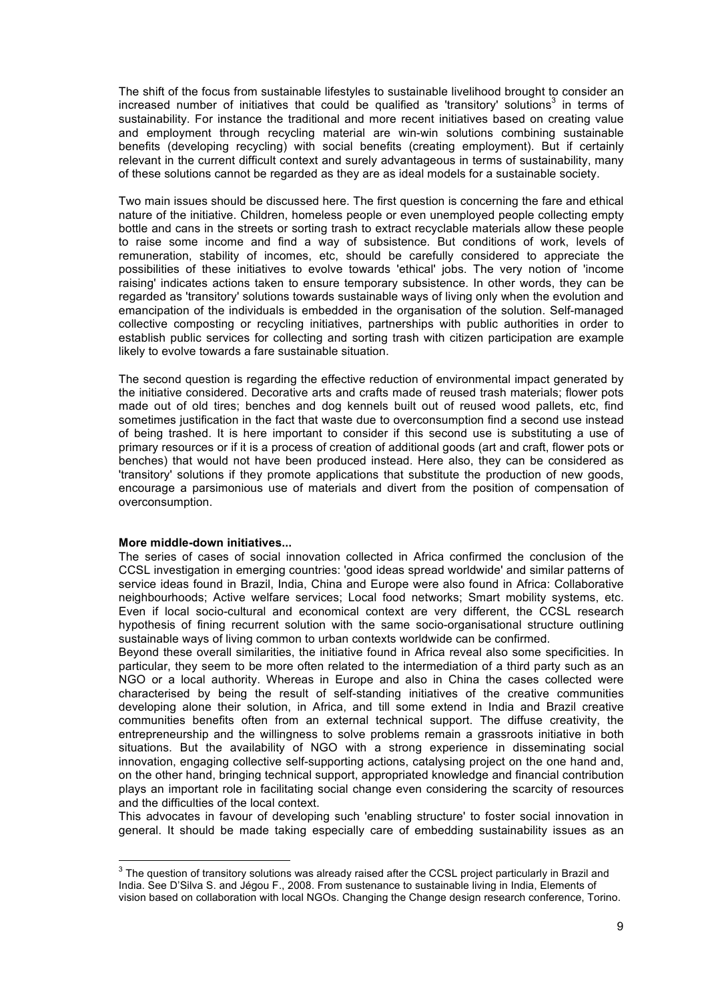The shift of the focus from sustainable lifestyles to sustainable livelihood brought to consider an increased number of initiatives that could be qualified as 'transitory' solutions<sup>3</sup> in terms of sustainability. For instance the traditional and more recent initiatives based on creating value and employment through recycling material are win-win solutions combining sustainable benefits (developing recycling) with social benefits (creating employment). But if certainly relevant in the current difficult context and surely advantageous in terms of sustainability, many of these solutions cannot be regarded as they are as ideal models for a sustainable society.

Two main issues should be discussed here. The first question is concerning the fare and ethical nature of the initiative. Children, homeless people or even unemployed people collecting empty bottle and cans in the streets or sorting trash to extract recyclable materials allow these people to raise some income and find a way of subsistence. But conditions of work, levels of remuneration, stability of incomes, etc, should be carefully considered to appreciate the possibilities of these initiatives to evolve towards 'ethical' jobs. The very notion of 'income raising' indicates actions taken to ensure temporary subsistence. In other words, they can be regarded as 'transitory' solutions towards sustainable ways of living only when the evolution and emancipation of the individuals is embedded in the organisation of the solution. Self-managed collective composting or recycling initiatives, partnerships with public authorities in order to establish public services for collecting and sorting trash with citizen participation are example likely to evolve towards a fare sustainable situation.

The second question is regarding the effective reduction of environmental impact generated by the initiative considered. Decorative arts and crafts made of reused trash materials; flower pots made out of old tires; benches and dog kennels built out of reused wood pallets, etc, find sometimes justification in the fact that waste due to overconsumption find a second use instead of being trashed. It is here important to consider if this second use is substituting a use of primary resources or if it is a process of creation of additional goods (art and craft, flower pots or benches) that would not have been produced instead. Here also, they can be considered as 'transitory' solutions if they promote applications that substitute the production of new goods, encourage a parsimonious use of materials and divert from the position of compensation of overconsumption.

#### **More middle-down initiatives...**

The series of cases of social innovation collected in Africa confirmed the conclusion of the CCSL investigation in emerging countries: 'good ideas spread worldwide' and similar patterns of service ideas found in Brazil, India, China and Europe were also found in Africa: Collaborative neighbourhoods; Active welfare services; Local food networks; Smart mobility systems, etc. Even if local socio-cultural and economical context are very different, the CCSL research hypothesis of fining recurrent solution with the same socio-organisational structure outlining sustainable ways of living common to urban contexts worldwide can be confirmed.

Beyond these overall similarities, the initiative found in Africa reveal also some specificities. In particular, they seem to be more often related to the intermediation of a third party such as an NGO or a local authority. Whereas in Europe and also in China the cases collected were characterised by being the result of self-standing initiatives of the creative communities developing alone their solution, in Africa, and till some extend in India and Brazil creative communities benefits often from an external technical support. The diffuse creativity, the entrepreneurship and the willingness to solve problems remain a grassroots initiative in both situations. But the availability of NGO with a strong experience in disseminating social innovation, engaging collective self-supporting actions, catalysing project on the one hand and, on the other hand, bringing technical support, appropriated knowledge and financial contribution plays an important role in facilitating social change even considering the scarcity of resources and the difficulties of the local context.

This advocates in favour of developing such 'enabling structure' to foster social innovation in general. It should be made taking especially care of embedding sustainability issues as an

<sup>&</sup>lt;sup>3</sup> The question of transitory solutions was already raised after the CCSL project particularly in Brazil and India. See D'Silva S. and Jégou F., 2008. From sustenance to sustainable living in India, Elements of vision based on collaboration with local NGOs. Changing the Change design research conference, Torino.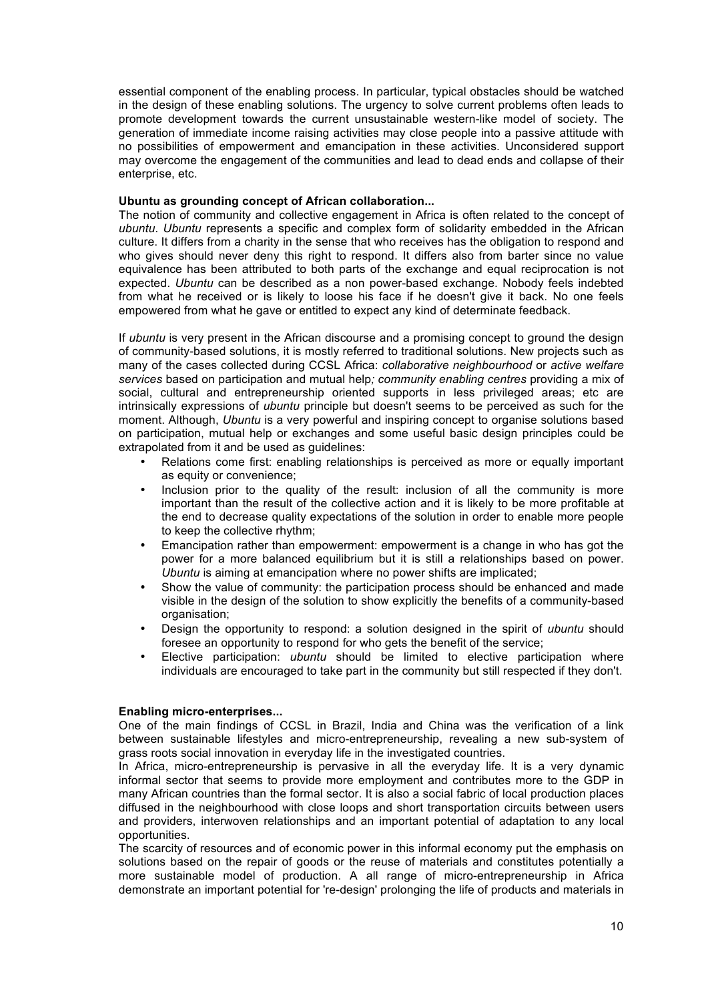essential component of the enabling process. In particular, typical obstacles should be watched in the design of these enabling solutions. The urgency to solve current problems often leads to promote development towards the current unsustainable western-like model of society. The generation of immediate income raising activities may close people into a passive attitude with no possibilities of empowerment and emancipation in these activities. Unconsidered support may overcome the engagement of the communities and lead to dead ends and collapse of their enterprise, etc.

#### **Ubuntu as grounding concept of African collaboration...**

The notion of community and collective engagement in Africa is often related to the concept of *ubuntu*. *Ubuntu* represents a specific and complex form of solidarity embedded in the African culture. It differs from a charity in the sense that who receives has the obligation to respond and who gives should never deny this right to respond. It differs also from barter since no value equivalence has been attributed to both parts of the exchange and equal reciprocation is not expected. *Ubuntu* can be described as a non power-based exchange. Nobody feels indebted from what he received or is likely to loose his face if he doesn't give it back. No one feels empowered from what he gave or entitled to expect any kind of determinate feedback.

If *ubuntu* is very present in the African discourse and a promising concept to ground the design of community-based solutions, it is mostly referred to traditional solutions. New projects such as many of the cases collected during CCSL Africa: *collaborative neighbourhood* or *active welfare services* based on participation and mutual help*; community enabling centres* providing a mix of social, cultural and entrepreneurship oriented supports in less privileged areas; etc are intrinsically expressions of *ubuntu* principle but doesn't seems to be perceived as such for the moment. Although, *Ubuntu* is a very powerful and inspiring concept to organise solutions based on participation, mutual help or exchanges and some useful basic design principles could be extrapolated from it and be used as quidelines:

- Relations come first: enabling relationships is perceived as more or equally important as equity or convenience;
- Inclusion prior to the quality of the result: inclusion of all the community is more important than the result of the collective action and it is likely to be more profitable at the end to decrease quality expectations of the solution in order to enable more people to keep the collective rhythm;
- Emancipation rather than empowerment: empowerment is a change in who has got the power for a more balanced equilibrium but it is still a relationships based on power. *Ubuntu* is aiming at emancipation where no power shifts are implicated;
- Show the value of community: the participation process should be enhanced and made visible in the design of the solution to show explicitly the benefits of a community-based organisation;
- Design the opportunity to respond: a solution designed in the spirit of *ubuntu* should foresee an opportunity to respond for who gets the benefit of the service;
- Elective participation: *ubuntu* should be limited to elective participation where individuals are encouraged to take part in the community but still respected if they don't.

#### **Enabling micro-enterprises...**

One of the main findings of CCSL in Brazil, India and China was the verification of a link between sustainable lifestyles and micro-entrepreneurship, revealing a new sub-system of grass roots social innovation in everyday life in the investigated countries.

In Africa, micro-entrepreneurship is pervasive in all the everyday life. It is a very dynamic informal sector that seems to provide more employment and contributes more to the GDP in many African countries than the formal sector. It is also a social fabric of local production places diffused in the neighbourhood with close loops and short transportation circuits between users and providers, interwoven relationships and an important potential of adaptation to any local opportunities.

The scarcity of resources and of economic power in this informal economy put the emphasis on solutions based on the repair of goods or the reuse of materials and constitutes potentially a more sustainable model of production. A all range of micro-entrepreneurship in Africa demonstrate an important potential for 're-design' prolonging the life of products and materials in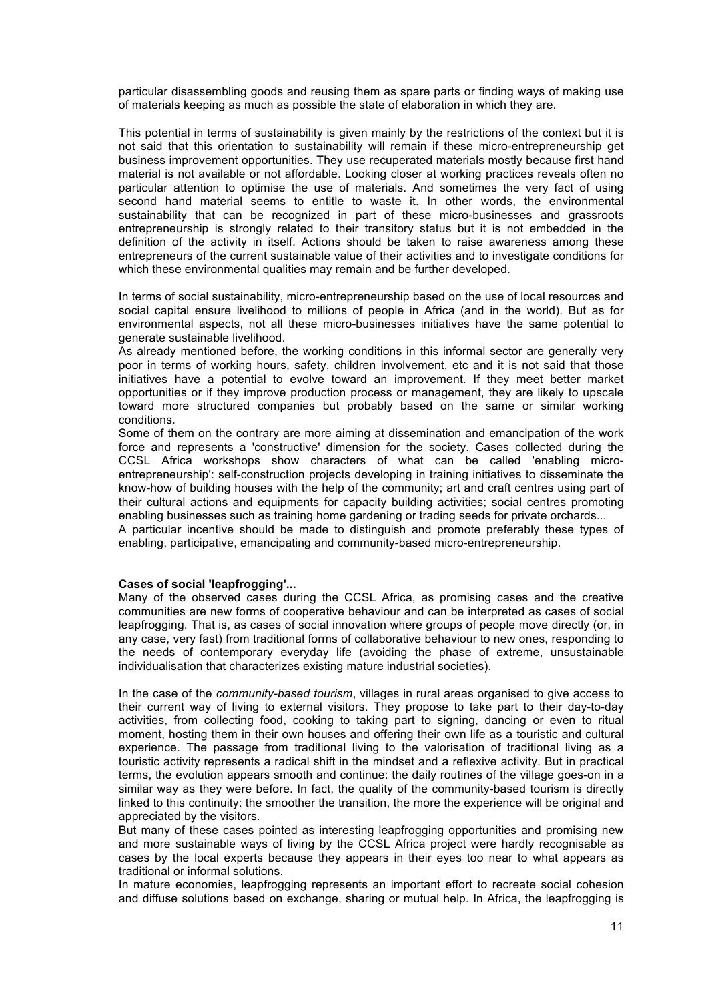particular disassembling goods and reusing them as spare parts or finding ways of making use of materials keeping as much as possible the state of elaboration in which they are.

This potential in terms of sustainability is given mainly by the restrictions of the context but it is not said that this orientation to sustainability will remain if these micro-entrepreneurship get business improvement opportunities. They use recuperated materials mostly because first hand material is not available or not affordable. Looking closer at working practices reveals often no particular attention to optimise the use of materials. And sometimes the very fact of using second hand material seems to entitle to waste it. In other words, the environmental sustainability that can be recognized in part of these micro-businesses and grassroots entrepreneurship is strongly related to their transitory status but it is not embedded in the definition of the activity in itself. Actions should be taken to raise awareness among these entrepreneurs of the current sustainable value of their activities and to investigate conditions for which these environmental qualities may remain and be further developed.

In terms of social sustainability, micro-entrepreneurship based on the use of local resources and social capital ensure livelihood to millions of people in Africa (and in the world). But as for environmental aspects, not all these micro-businesses initiatives have the same potential to generate sustainable livelihood.

As already mentioned before, the working conditions in this informal sector are generally very poor in terms of working hours, safety, children involvement, etc and it is not said that those initiatives have a potential to evolve toward an improvement. If they meet better market opportunities or if they improve production process or management, they are likely to upscale toward more structured companies but probably based on the same or similar working conditions.

Some of them on the contrary are more aiming at dissemination and emancipation of the work force and represents a 'constructive' dimension for the society. Cases collected during the CCSL Africa workshops show characters of what can be called 'enabling microentrepreneurship': self-construction projects developing in training initiatives to disseminate the know-how of building houses with the help of the community; art and craft centres using part of their cultural actions and equipments for capacity building activities; social centres promoting enabling businesses such as training home gardening or trading seeds for private orchards...

A particular incentive should be made to distinguish and promote preferably these types of enabling, participative, emancipating and community-based micro-entrepreneurship.

#### **Cases of social 'leapfrogging'...**

Many of the observed cases during the CCSL Africa, as promising cases and the creative communities are new forms of cooperative behaviour and can be interpreted as cases of social leapfrogging. That is, as cases of social innovation where groups of people move directly (or, in any case, very fast) from traditional forms of collaborative behaviour to new ones, responding to the needs of contemporary everyday life (avoiding the phase of extreme, unsustainable individualisation that characterizes existing mature industrial societies).

In the case of the *community-based tourism*, villages in rural areas organised to give access to their current way of living to external visitors. They propose to take part to their day-to-day activities, from collecting food, cooking to taking part to signing, dancing or even to ritual moment, hosting them in their own houses and offering their own life as a touristic and cultural experience. The passage from traditional living to the valorisation of traditional living as a touristic activity represents a radical shift in the mindset and a reflexive activity. But in practical terms, the evolution appears smooth and continue: the daily routines of the village goes-on in a similar way as they were before. In fact, the quality of the community-based tourism is directly linked to this continuity: the smoother the transition, the more the experience will be original and appreciated by the visitors.

But many of these cases pointed as interesting leapfrogging opportunities and promising new and more sustainable ways of living by the CCSL Africa project were hardly recognisable as cases by the local experts because they appears in their eyes too near to what appears as traditional or informal solutions.

In mature economies, leapfrogging represents an important effort to recreate social cohesion and diffuse solutions based on exchange, sharing or mutual help. In Africa, the leapfrogging is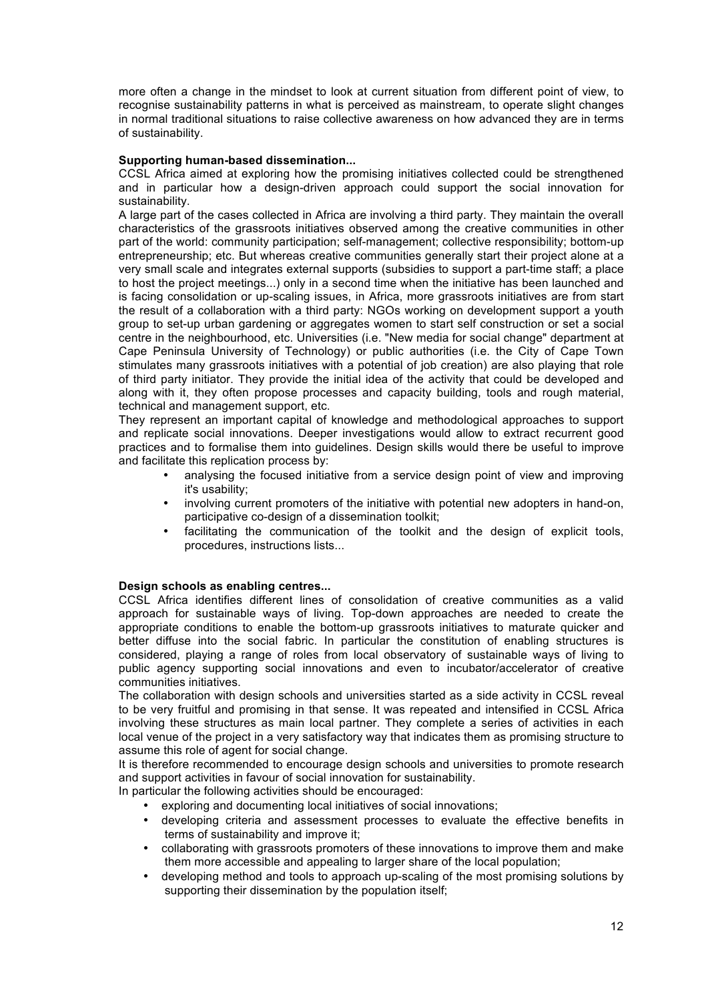more often a change in the mindset to look at current situation from different point of view, to recognise sustainability patterns in what is perceived as mainstream, to operate slight changes in normal traditional situations to raise collective awareness on how advanced they are in terms of sustainability.

#### **Supporting human-based dissemination...**

CCSL Africa aimed at exploring how the promising initiatives collected could be strengthened and in particular how a design-driven approach could support the social innovation for sustainability.

A large part of the cases collected in Africa are involving a third party. They maintain the overall characteristics of the grassroots initiatives observed among the creative communities in other part of the world: community participation; self-management; collective responsibility; bottom-up entrepreneurship; etc. But whereas creative communities generally start their project alone at a very small scale and integrates external supports (subsidies to support a part-time staff; a place to host the project meetings...) only in a second time when the initiative has been launched and is facing consolidation or up-scaling issues, in Africa, more grassroots initiatives are from start the result of a collaboration with a third party: NGOs working on development support a youth group to set-up urban gardening or aggregates women to start self construction or set a social centre in the neighbourhood, etc. Universities (i.e. "New media for social change" department at Cape Peninsula University of Technology) or public authorities (i.e. the City of Cape Town stimulates many grassroots initiatives with a potential of job creation) are also playing that role of third party initiator. They provide the initial idea of the activity that could be developed and along with it, they often propose processes and capacity building, tools and rough material, technical and management support, etc.

They represent an important capital of knowledge and methodological approaches to support and replicate social innovations. Deeper investigations would allow to extract recurrent good practices and to formalise them into guidelines. Design skills would there be useful to improve and facilitate this replication process by:

- analysing the focused initiative from a service design point of view and improving it's usability;
- involving current promoters of the initiative with potential new adopters in hand-on, participative co-design of a dissemination toolkit;
- facilitating the communication of the toolkit and the design of explicit tools, procedures, instructions lists...

#### **Design schools as enabling centres...**

CCSL Africa identifies different lines of consolidation of creative communities as a valid approach for sustainable ways of living. Top-down approaches are needed to create the appropriate conditions to enable the bottom-up grassroots initiatives to maturate quicker and better diffuse into the social fabric. In particular the constitution of enabling structures is considered, playing a range of roles from local observatory of sustainable ways of living to public agency supporting social innovations and even to incubator/accelerator of creative communities initiatives.

The collaboration with design schools and universities started as a side activity in CCSL reveal to be very fruitful and promising in that sense. It was repeated and intensified in CCSL Africa involving these structures as main local partner. They complete a series of activities in each local venue of the project in a very satisfactory way that indicates them as promising structure to assume this role of agent for social change.

It is therefore recommended to encourage design schools and universities to promote research and support activities in favour of social innovation for sustainability.

In particular the following activities should be encouraged:

- exploring and documenting local initiatives of social innovations;
- developing criteria and assessment processes to evaluate the effective benefits in terms of sustainability and improve it;
- collaborating with grassroots promoters of these innovations to improve them and make them more accessible and appealing to larger share of the local population;
- developing method and tools to approach up-scaling of the most promising solutions by supporting their dissemination by the population itself;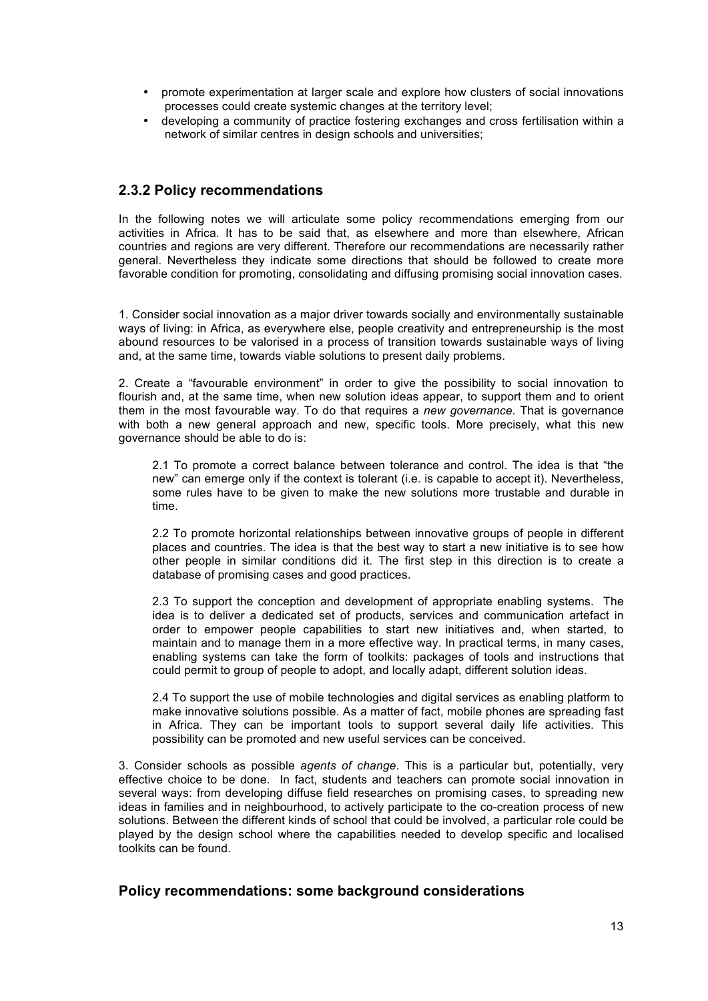- promote experimentation at larger scale and explore how clusters of social innovations processes could create systemic changes at the territory level;
- developing a community of practice fostering exchanges and cross fertilisation within a network of similar centres in design schools and universities;

### **2.3.2 Policy recommendations**

In the following notes we will articulate some policy recommendations emerging from our activities in Africa. It has to be said that, as elsewhere and more than elsewhere, African countries and regions are very different. Therefore our recommendations are necessarily rather general. Nevertheless they indicate some directions that should be followed to create more favorable condition for promoting, consolidating and diffusing promising social innovation cases.

1. Consider social innovation as a major driver towards socially and environmentally sustainable ways of living: in Africa, as everywhere else, people creativity and entrepreneurship is the most abound resources to be valorised in a process of transition towards sustainable ways of living and, at the same time, towards viable solutions to present daily problems.

2. Create a "favourable environment" in order to give the possibility to social innovation to flourish and, at the same time, when new solution ideas appear, to support them and to orient them in the most favourable way. To do that requires a *new governance*. That is governance with both a new general approach and new, specific tools. More precisely, what this new governance should be able to do is:

2.1 To promote a correct balance between tolerance and control. The idea is that "the new" can emerge only if the context is tolerant (i.e. is capable to accept it). Nevertheless, some rules have to be given to make the new solutions more trustable and durable in time.

2.2 To promote horizontal relationships between innovative groups of people in different places and countries. The idea is that the best way to start a new initiative is to see how other people in similar conditions did it. The first step in this direction is to create a database of promising cases and good practices.

2.3 To support the conception and development of appropriate enabling systems. The idea is to deliver a dedicated set of products, services and communication artefact in order to empower people capabilities to start new initiatives and, when started, to maintain and to manage them in a more effective way. In practical terms, in many cases, enabling systems can take the form of toolkits: packages of tools and instructions that could permit to group of people to adopt, and locally adapt, different solution ideas.

2.4 To support the use of mobile technologies and digital services as enabling platform to make innovative solutions possible. As a matter of fact, mobile phones are spreading fast in Africa. They can be important tools to support several daily life activities. This possibility can be promoted and new useful services can be conceived.

3. Consider schools as possible *agents of change*. This is a particular but, potentially, very effective choice to be done. In fact, students and teachers can promote social innovation in several ways: from developing diffuse field researches on promising cases, to spreading new ideas in families and in neighbourhood, to actively participate to the co-creation process of new solutions. Between the different kinds of school that could be involved, a particular role could be played by the design school where the capabilities needed to develop specific and localised toolkits can be found.

### **Policy recommendations: some background considerations**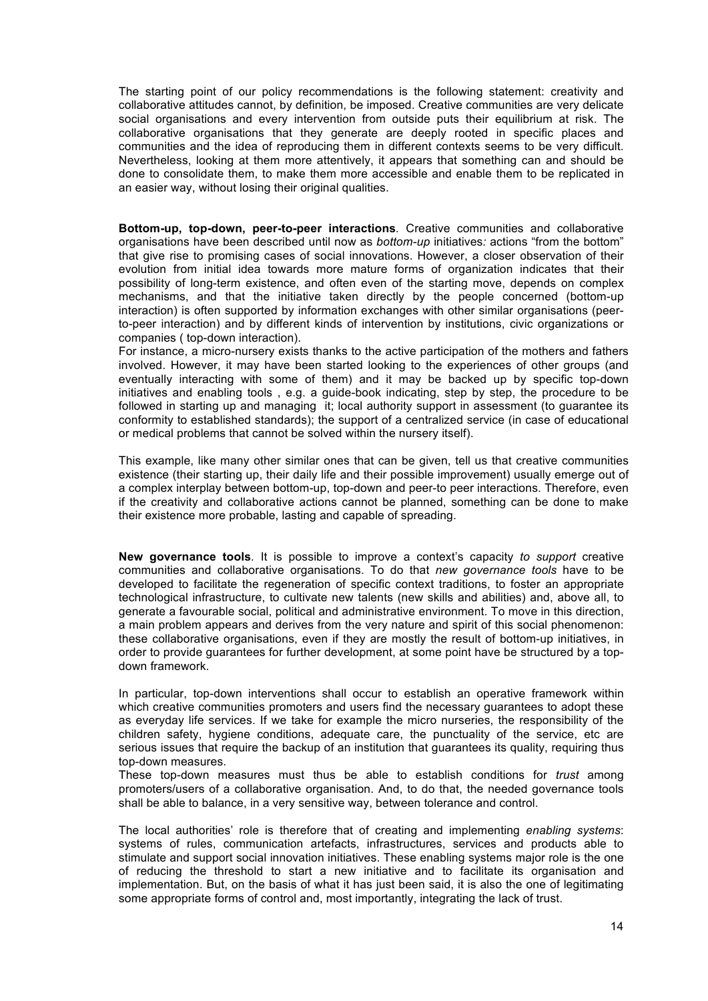The starting point of our policy recommendations is the following statement: creativity and collaborative attitudes cannot, by definition, be imposed. Creative communities are very delicate social organisations and every intervention from outside puts their equilibrium at risk. The collaborative organisations that they generate are deeply rooted in specific places and communities and the idea of reproducing them in different contexts seems to be very difficult. Nevertheless, looking at them more attentively, it appears that something can and should be done to consolidate them, to make them more accessible and enable them to be replicated in an easier way, without losing their original qualities.

**Bottom-up, top-down, peer-to-peer interactions***.* Creative communities and collaborative organisations have been described until now as *bottom-up* initiatives*:* actions "from the bottom" that give rise to promising cases of social innovations. However, a closer observation of their evolution from initial idea towards more mature forms of organization indicates that their possibility of long-term existence, and often even of the starting move, depends on complex mechanisms, and that the initiative taken directly by the people concerned (bottom-up interaction) is often supported by information exchanges with other similar organisations (peerto-peer interaction) and by different kinds of intervention by institutions, civic organizations or companies ( top-down interaction).

For instance, a micro-nursery exists thanks to the active participation of the mothers and fathers involved. However, it may have been started looking to the experiences of other groups (and eventually interacting with some of them) and it may be backed up by specific top-down initiatives and enabling tools , e.g. a guide-book indicating, step by step, the procedure to be followed in starting up and managing it; local authority support in assessment (to guarantee its conformity to established standards); the support of a centralized service (in case of educational or medical problems that cannot be solved within the nursery itself).

This example, like many other similar ones that can be given, tell us that creative communities existence (their starting up, their daily life and their possible improvement) usually emerge out of a complex interplay between bottom-up, top-down and peer-to peer interactions. Therefore, even if the creativity and collaborative actions cannot be planned, something can be done to make their existence more probable, lasting and capable of spreading.

**New governance tools***.* It is possible to improve a context's capacity *to support* creative communities and collaborative organisations. To do that *new governance tools* have to be developed to facilitate the regeneration of specific context traditions, to foster an appropriate technological infrastructure, to cultivate new talents (new skills and abilities) and, above all, to generate a favourable social, political and administrative environment. To move in this direction, a main problem appears and derives from the very nature and spirit of this social phenomenon: these collaborative organisations, even if they are mostly the result of bottom-up initiatives, in order to provide guarantees for further development, at some point have be structured by a topdown framework.

In particular, top-down interventions shall occur to establish an operative framework within which creative communities promoters and users find the necessary guarantees to adopt these as everyday life services. If we take for example the micro nurseries, the responsibility of the children safety, hygiene conditions, adequate care, the punctuality of the service, etc are serious issues that require the backup of an institution that guarantees its quality, requiring thus top-down measures.

These top-down measures must thus be able to establish conditions for *trust* among promoters/users of a collaborative organisation. And, to do that, the needed governance tools shall be able to balance, in a very sensitive way, between tolerance and control.

The local authorities' role is therefore that of creating and implementing *enabling systems*: systems of rules, communication artefacts, infrastructures, services and products able to stimulate and support social innovation initiatives. These enabling systems major role is the one of reducing the threshold to start a new initiative and to facilitate its organisation and implementation. But, on the basis of what it has just been said, it is also the one of legitimating some appropriate forms of control and, most importantly, integrating the lack of trust.